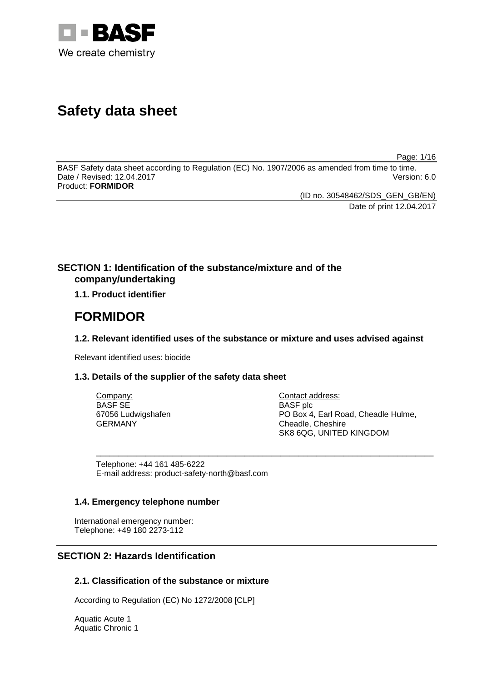

## **Safety data sheet**

Page: 1/16

BASF Safety data sheet according to Regulation (EC) No. 1907/2006 as amended from time to time. Date / Revised: 12.04.2017 Version: 6.0 Product: **FORMIDOR**

(ID no. 30548462/SDS\_GEN\_GB/EN)

Date of print 12.04.2017

## **SECTION 1: Identification of the substance/mixture and of the company/undertaking**

**1.1. Product identifier**

## **FORMIDOR**

## **1.2. Relevant identified uses of the substance or mixture and uses advised against**

\_\_\_\_\_\_\_\_\_\_\_\_\_\_\_\_\_\_\_\_\_\_\_\_\_\_\_\_\_\_\_\_\_\_\_\_\_\_\_\_\_\_\_\_\_\_\_\_\_\_\_\_\_\_\_\_\_\_\_\_\_\_\_\_\_\_\_\_\_\_\_\_\_\_\_

Relevant identified uses: biocide

## **1.3. Details of the supplier of the safety data sheet**

| Company:           | Cont       |
|--------------------|------------|
| <b>BASF SE</b>     | <b>BAS</b> |
| 67056 Ludwigshafen | PO E       |
| GERMANY            | Chea       |
|                    | ~…         |

tact address:  $F$  plc Box 4, Earl Road, Cheadle Hulme, adle, Cheshire SK8 6QG, UNITED KINGDOM

Telephone: +44 161 485-6222 E-mail address: product-safety-north@basf.com

#### **1.4. Emergency telephone number**

International emergency number: Telephone: +49 180 2273-112

## **SECTION 2: Hazards Identification**

## **2.1. Classification of the substance or mixture**

According to Regulation (EC) No 1272/2008 [CLP]

Aquatic Acute 1 Aquatic Chronic 1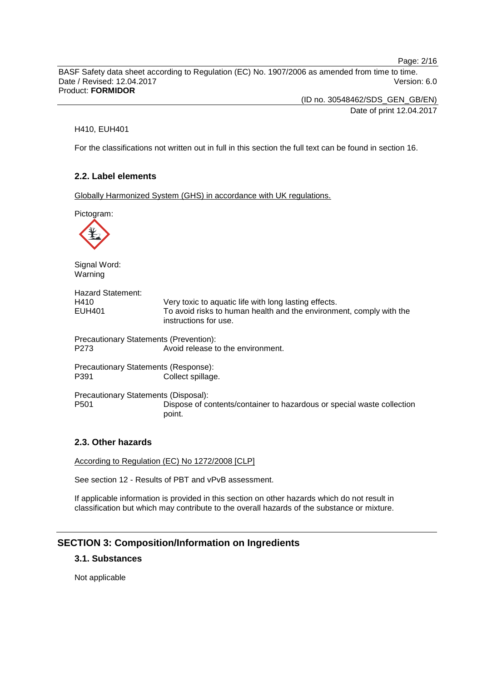Page: 2/16

BASF Safety data sheet according to Regulation (EC) No. 1907/2006 as amended from time to time. Date / Revised: 12.04.2017 Version: 6.0 Product: **FORMIDOR**

> (ID no. 30548462/SDS\_GEN\_GB/EN) Date of print 12.04.2017

#### H410, EUH401

For the classifications not written out in full in this section the full text can be found in section 16.

## **2.2. Label elements**

Globally Harmonized System (GHS) in accordance with UK regulations.

Pictogram:



Signal Word: Warning

| <b>Hazard Statement:</b> |                                                                                              |
|--------------------------|----------------------------------------------------------------------------------------------|
| H410                     | Very toxic to aquatic life with long lasting effects.                                        |
| EUH401                   | To avoid risks to human health and the environment, comply with the<br>instructions for use. |
|                          | <b>Precautionary Statements (Prevention):</b>                                                |
| P <sub>273</sub>         | Avoid release to the environment.                                                            |

Precautionary Statements (Response):<br>P391 Collect spillage Collect spillage.

Precautionary Statements (Disposal): Dispose of contents/container to hazardous or special waste collection point.

#### **2.3. Other hazards**

According to Regulation (EC) No 1272/2008 [CLP]

See section 12 - Results of PBT and vPvB assessment.

If applicable information is provided in this section on other hazards which do not result in classification but which may contribute to the overall hazards of the substance or mixture.

## **SECTION 3: Composition/Information on Ingredients**

## **3.1. Substances**

Not applicable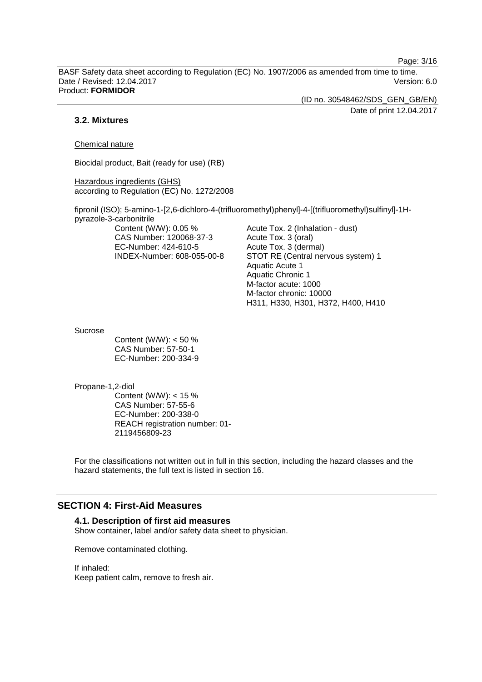Page: 3/16

BASF Safety data sheet according to Regulation (EC) No. 1907/2006 as amended from time to time. Date / Revised: 12.04.2017 Version: 6.0 Product: **FORMIDOR**

> (ID no. 30548462/SDS\_GEN\_GB/EN) Date of print 12.04.2017

#### **3.2. Mixtures**

Chemical nature

Biocidal product, Bait (ready for use) (RB)

Hazardous ingredients (GHS) according to Regulation (EC) No. 1272/2008

fipronil (ISO); 5-amino-1-[2,6-dichloro-4-(trifluoromethyl)phenyl]-4-[(trifluoromethyl)sulfinyl]-1Hpyrazole-3-carbonitrile

Content (W/W): 0.05 % CAS Number: 120068-37-3 EC-Number: 424-610-5 INDEX-Number: 608-055-00-8 Acute Tox. 2 (Inhalation - dust) Acute Tox. 3 (oral) Acute Tox. 3 (dermal) STOT RE (Central nervous system) 1 Aquatic Acute 1 Aquatic Chronic 1 M-factor acute: 1000 M-factor chronic: 10000 H311, H330, H301, H372, H400, H410

Sucrose

Content (W/W): < 50 % CAS Number: 57-50-1 EC-Number: 200-334-9

Propane-1,2-diol

Content (W/W): < 15 % CAS Number: 57-55-6 EC-Number: 200-338-0 REACH registration number: 01- 2119456809-23

For the classifications not written out in full in this section, including the hazard classes and the hazard statements, the full text is listed in section 16.

## **SECTION 4: First-Aid Measures**

#### **4.1. Description of first aid measures**

Show container, label and/or safety data sheet to physician.

Remove contaminated clothing.

If inhaled: Keep patient calm, remove to fresh air.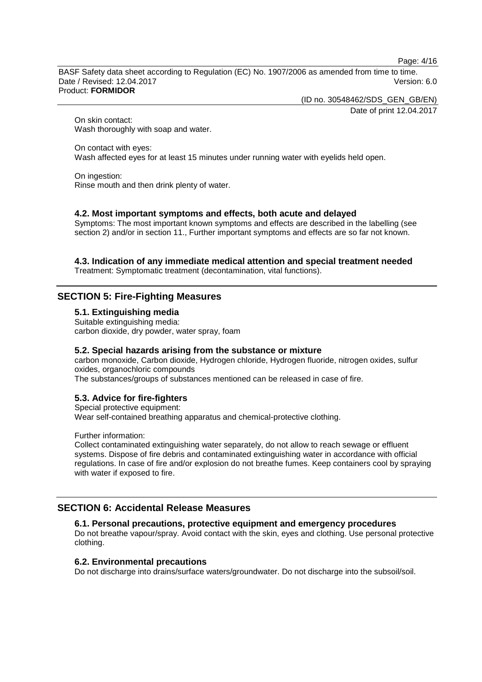Page: 4/16

BASF Safety data sheet according to Regulation (EC) No. 1907/2006 as amended from time to time. Date / Revised: 12.04.2017 Version: 6.0 Product: **FORMIDOR**

(ID no. 30548462/SDS\_GEN\_GB/EN)

Date of print 12.04.2017

On skin contact: Wash thoroughly with soap and water.

On contact with eyes: Wash affected eyes for at least 15 minutes under running water with eyelids held open.

On ingestion: Rinse mouth and then drink plenty of water.

## **4.2. Most important symptoms and effects, both acute and delayed**

Symptoms: The most important known symptoms and effects are described in the labelling (see section 2) and/or in section 11., Further important symptoms and effects are so far not known.

## **4.3. Indication of any immediate medical attention and special treatment needed**

Treatment: Symptomatic treatment (decontamination, vital functions).

## **SECTION 5: Fire-Fighting Measures**

**5.1. Extinguishing media**

Suitable extinguishing media: carbon dioxide, dry powder, water spray, foam

#### **5.2. Special hazards arising from the substance or mixture**

carbon monoxide, Carbon dioxide, Hydrogen chloride, Hydrogen fluoride, nitrogen oxides, sulfur oxides, organochloric compounds

The substances/groups of substances mentioned can be released in case of fire.

## **5.3. Advice for fire-fighters**

Special protective equipment: Wear self-contained breathing apparatus and chemical-protective clothing.

Further information:

Collect contaminated extinguishing water separately, do not allow to reach sewage or effluent systems. Dispose of fire debris and contaminated extinguishing water in accordance with official regulations. In case of fire and/or explosion do not breathe fumes. Keep containers cool by spraying with water if exposed to fire.

## **SECTION 6: Accidental Release Measures**

#### **6.1. Personal precautions, protective equipment and emergency procedures**

Do not breathe vapour/spray. Avoid contact with the skin, eyes and clothing. Use personal protective clothing.

#### **6.2. Environmental precautions**

Do not discharge into drains/surface waters/groundwater. Do not discharge into the subsoil/soil.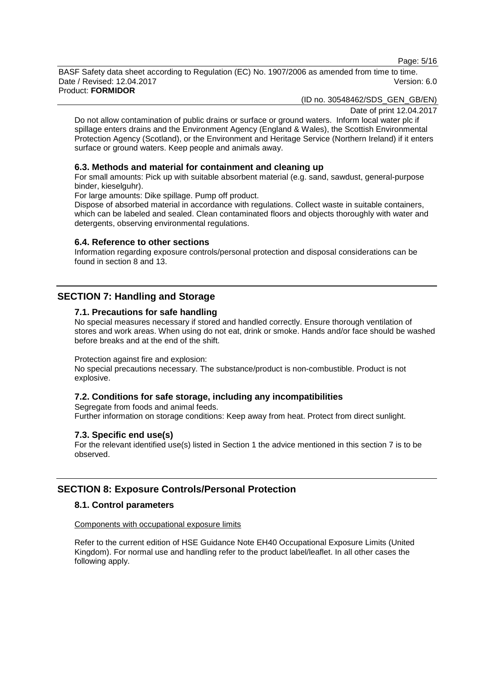Page: 5/16

BASF Safety data sheet according to Regulation (EC) No. 1907/2006 as amended from time to time. Date / Revised: 12.04.2017 Version: 6.0 Product: **FORMIDOR**

(ID no. 30548462/SDS\_GEN\_GB/EN)

Date of print 12.04.2017

Do not allow contamination of public drains or surface or ground waters. Inform local water plc if spillage enters drains and the Environment Agency (England & Wales), the Scottish Environmental Protection Agency (Scotland), or the Environment and Heritage Service (Northern Ireland) if it enters surface or ground waters. Keep people and animals away.

#### **6.3. Methods and material for containment and cleaning up**

For small amounts: Pick up with suitable absorbent material (e.g. sand, sawdust, general-purpose binder, kieselguhr).

For large amounts: Dike spillage. Pump off product.

Dispose of absorbed material in accordance with regulations. Collect waste in suitable containers, which can be labeled and sealed. Clean contaminated floors and objects thoroughly with water and detergents, observing environmental regulations.

#### **6.4. Reference to other sections**

Information regarding exposure controls/personal protection and disposal considerations can be found in section 8 and 13.

## **SECTION 7: Handling and Storage**

#### **7.1. Precautions for safe handling**

No special measures necessary if stored and handled correctly. Ensure thorough ventilation of stores and work areas. When using do not eat, drink or smoke. Hands and/or face should be washed before breaks and at the end of the shift.

Protection against fire and explosion:

No special precautions necessary. The substance/product is non-combustible. Product is not explosive.

## **7.2. Conditions for safe storage, including any incompatibilities**

Segregate from foods and animal feeds. Further information on storage conditions: Keep away from heat. Protect from direct sunlight.

#### **7.3. Specific end use(s)**

For the relevant identified use(s) listed in Section 1 the advice mentioned in this section 7 is to be observed.

## **SECTION 8: Exposure Controls/Personal Protection**

#### **8.1. Control parameters**

Components with occupational exposure limits

Refer to the current edition of HSE Guidance Note EH40 Occupational Exposure Limits (United Kingdom). For normal use and handling refer to the product label/leaflet. In all other cases the following apply.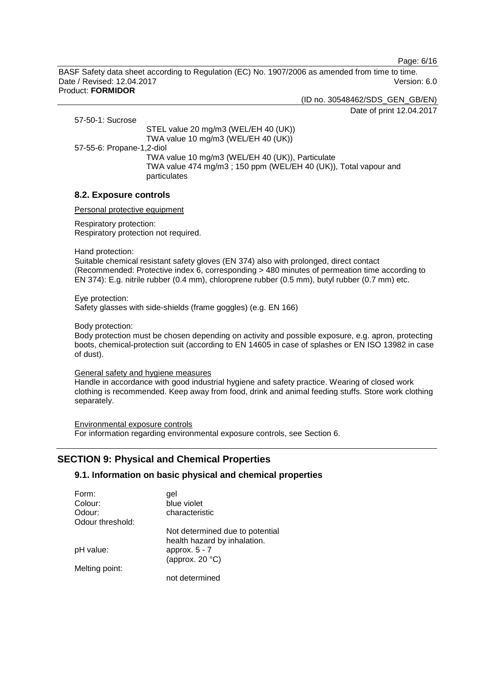Page: 6/16

BASF Safety data sheet according to Regulation (EC) No. 1907/2006 as amended from time to time. Date / Revised: 12.04.2017 Version: 6.0 Product: **FORMIDOR**

(ID no. 30548462/SDS\_GEN\_GB/EN)

Date of print 12.04.2017

57-50-1: Sucrose

STEL value 20 mg/m3 (WEL/EH 40 (UK)) TWA value 10 mg/m3 (WEL/EH 40 (UK))

57-55-6: Propane-1,2-diol

TWA value 10 mg/m3 (WEL/EH 40 (UK)), Particulate TWA value 474 mg/m3 ; 150 ppm (WEL/EH 40 (UK)), Total vapour and particulates

## **8.2. Exposure controls**

Personal protective equipment

Respiratory protection: Respiratory protection not required.

Hand protection:

Suitable chemical resistant safety gloves (EN 374) also with prolonged, direct contact (Recommended: Protective index 6, corresponding > 480 minutes of permeation time according to EN 374): E.g. nitrile rubber (0.4 mm), chloroprene rubber (0.5 mm), butyl rubber (0.7 mm) etc.

Eye protection: Safety glasses with side-shields (frame goggles) (e.g. EN 166)

Body protection:

Body protection must be chosen depending on activity and possible exposure, e.g. apron, protecting boots, chemical-protection suit (according to EN 14605 in case of splashes or EN ISO 13982 in case of dust).

General safety and hygiene measures

Handle in accordance with good industrial hygiene and safety practice. Wearing of closed work clothing is recommended. Keep away from food, drink and animal feeding stuffs. Store work clothing separately.

Environmental exposure controls For information regarding environmental exposure controls, see Section 6.

## **SECTION 9: Physical and Chemical Properties**

#### **9.1. Information on basic physical and chemical properties**

| Form:            | gel                                                             |
|------------------|-----------------------------------------------------------------|
| Colour:          | blue violet                                                     |
| Odour:           | characteristic                                                  |
| Odour threshold: |                                                                 |
|                  | Not determined due to potential<br>health hazard by inhalation. |
| pH value:        | approx. $5 - 7$                                                 |
|                  | (approx. $20 °C$ )                                              |
| Melting point:   |                                                                 |
|                  | not determined                                                  |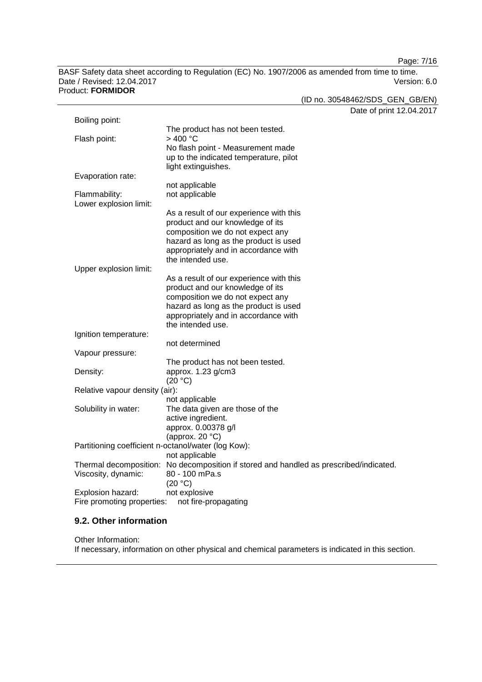Page: 7/16

BASF Safety data sheet according to Regulation (EC) No. 1907/2006 as amended from time to time. Date / Revised: 12.04.2017

|                                                     |                                                                                        | (ID no. 30548462/SDS_GEN_GB/EN) |
|-----------------------------------------------------|----------------------------------------------------------------------------------------|---------------------------------|
|                                                     |                                                                                        | Date of print 12.04.2017        |
| Boiling point:                                      |                                                                                        |                                 |
|                                                     | The product has not been tested.                                                       |                                 |
| Flash point:                                        | >400 °C                                                                                |                                 |
|                                                     | No flash point - Measurement made                                                      |                                 |
|                                                     | up to the indicated temperature, pilot                                                 |                                 |
|                                                     | light extinguishes.                                                                    |                                 |
| Evaporation rate:                                   |                                                                                        |                                 |
|                                                     | not applicable                                                                         |                                 |
| Flammability:                                       | not applicable                                                                         |                                 |
| Lower explosion limit:                              |                                                                                        |                                 |
|                                                     | As a result of our experience with this                                                |                                 |
|                                                     | product and our knowledge of its                                                       |                                 |
|                                                     | composition we do not expect any                                                       |                                 |
|                                                     | hazard as long as the product is used                                                  |                                 |
|                                                     | appropriately and in accordance with                                                   |                                 |
|                                                     | the intended use.                                                                      |                                 |
| Upper explosion limit:                              |                                                                                        |                                 |
|                                                     | As a result of our experience with this                                                |                                 |
|                                                     | product and our knowledge of its                                                       |                                 |
|                                                     | composition we do not expect any                                                       |                                 |
|                                                     | hazard as long as the product is used                                                  |                                 |
|                                                     | appropriately and in accordance with                                                   |                                 |
|                                                     | the intended use.                                                                      |                                 |
| Ignition temperature:                               |                                                                                        |                                 |
|                                                     | not determined                                                                         |                                 |
| Vapour pressure:                                    |                                                                                        |                                 |
|                                                     | The product has not been tested.                                                       |                                 |
| Density:                                            | approx. 1.23 g/cm3<br>(20 °C)                                                          |                                 |
| Relative vapour density (air):                      |                                                                                        |                                 |
|                                                     | not applicable                                                                         |                                 |
| Solubility in water:                                | The data given are those of the                                                        |                                 |
|                                                     | active ingredient.                                                                     |                                 |
|                                                     | approx. 0.00378 g/l                                                                    |                                 |
|                                                     | (approx. $20 °C$ )                                                                     |                                 |
| Partitioning coefficient n-octanol/water (log Kow): |                                                                                        |                                 |
|                                                     | not applicable                                                                         |                                 |
|                                                     | Thermal decomposition: No decomposition if stored and handled as prescribed/indicated. |                                 |
| Viscosity, dynamic:                                 | 80 - 100 mPa.s                                                                         |                                 |
|                                                     | (20 °C)                                                                                |                                 |
| Explosion hazard:                                   | not explosive                                                                          |                                 |
| Fire promoting properties:                          | not fire-propagating                                                                   |                                 |
|                                                     |                                                                                        |                                 |

# Product: **FORMIDOR**

#### **9.2. Other information**

Other Information: If necessary, information on other physical and chemical parameters is indicated in this section.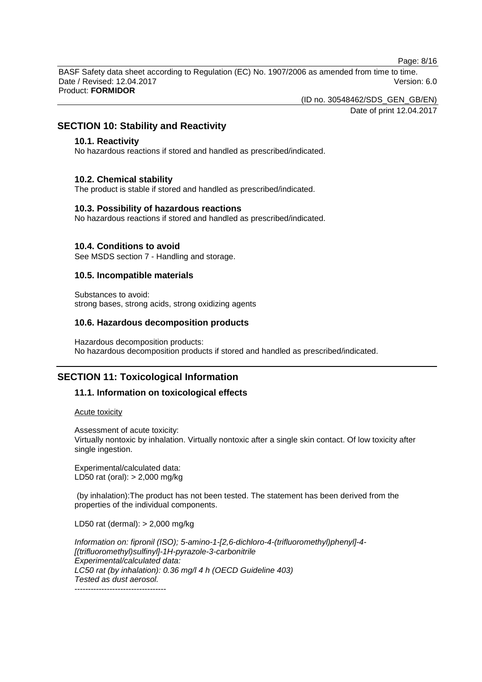Page: 8/16

BASF Safety data sheet according to Regulation (EC) No. 1907/2006 as amended from time to time. Date / Revised: 12.04.2017 Version: 6.0 Product: **FORMIDOR**

(ID no. 30548462/SDS\_GEN\_GB/EN)

Date of print 12.04.2017

## **SECTION 10: Stability and Reactivity**

#### **10.1. Reactivity**

No hazardous reactions if stored and handled as prescribed/indicated.

#### **10.2. Chemical stability**

The product is stable if stored and handled as prescribed/indicated.

#### **10.3. Possibility of hazardous reactions**

No hazardous reactions if stored and handled as prescribed/indicated.

#### **10.4. Conditions to avoid**

See MSDS section 7 - Handling and storage.

#### **10.5. Incompatible materials**

Substances to avoid: strong bases, strong acids, strong oxidizing agents

#### **10.6. Hazardous decomposition products**

Hazardous decomposition products: No hazardous decomposition products if stored and handled as prescribed/indicated.

#### **SECTION 11: Toxicological Information**

#### **11.1. Information on toxicological effects**

Acute toxicity

Assessment of acute toxicity: Virtually nontoxic by inhalation. Virtually nontoxic after a single skin contact. Of low toxicity after single ingestion.

Experimental/calculated data: LD50 rat (oral): > 2,000 mg/kg

(by inhalation):The product has not been tested. The statement has been derived from the properties of the individual components.

LD50 rat (dermal): > 2,000 mg/kg

*Information on: fipronil (ISO); 5-amino-1-[2,6-dichloro-4-(trifluoromethyl)phenyl]-4- [(trifluoromethyl)sulfinyl]-1H-pyrazole-3-carbonitrile Experimental/calculated data: LC50 rat (by inhalation): 0.36 mg/l 4 h (OECD Guideline 403) Tested as dust aerosol.* ----------------------------------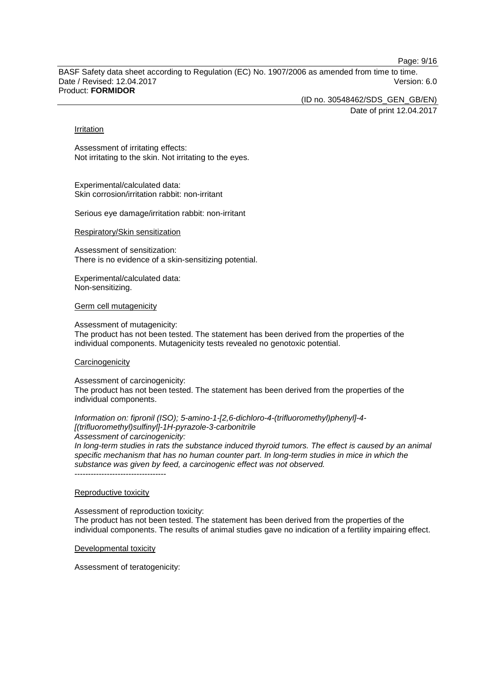Page: 9/16

BASF Safety data sheet according to Regulation (EC) No. 1907/2006 as amended from time to time. Date / Revised: 12.04.2017 Version: 6.0 Product: **FORMIDOR**

(ID no. 30548462/SDS\_GEN\_GB/EN)

Date of print 12.04.2017

#### Irritation

Assessment of irritating effects: Not irritating to the skin. Not irritating to the eyes.

Experimental/calculated data: Skin corrosion/irritation rabbit: non-irritant

Serious eye damage/irritation rabbit: non-irritant

#### Respiratory/Skin sensitization

Assessment of sensitization: There is no evidence of a skin-sensitizing potential.

Experimental/calculated data: Non-sensitizing.

#### Germ cell mutagenicity

Assessment of mutagenicity:

The product has not been tested. The statement has been derived from the properties of the individual components. Mutagenicity tests revealed no genotoxic potential.

#### **Carcinogenicity**

Assessment of carcinogenicity: The product has not been tested. The statement has been derived from the properties of the individual components.

*Information on: fipronil (ISO); 5-amino-1-[2,6-dichloro-4-(trifluoromethyl)phenyl]-4- [(trifluoromethyl)sulfinyl]-1H-pyrazole-3-carbonitrile Assessment of carcinogenicity:*

*In long-term studies in rats the substance induced thyroid tumors. The effect is caused by an animal specific mechanism that has no human counter part. In long-term studies in mice in which the substance was given by feed, a carcinogenic effect was not observed.* ----------------------------------

## Reproductive toxicity

Assessment of reproduction toxicity:

The product has not been tested. The statement has been derived from the properties of the individual components. The results of animal studies gave no indication of a fertility impairing effect.

Developmental toxicity

Assessment of teratogenicity: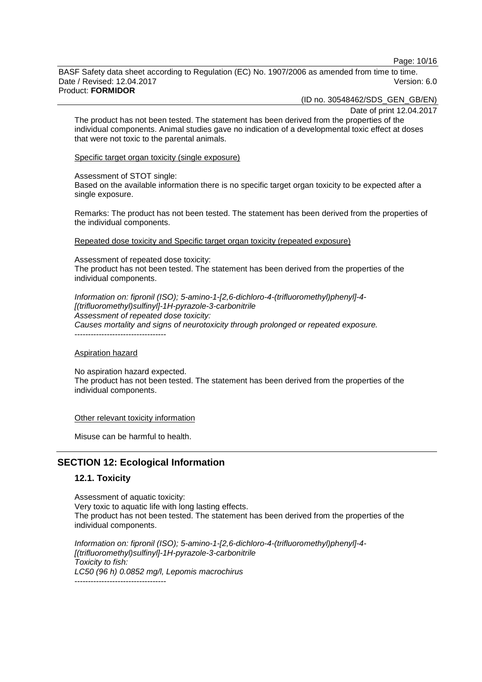Page: 10/16

BASF Safety data sheet according to Regulation (EC) No. 1907/2006 as amended from time to time. Date / Revised: 12.04.2017 Version: 6.0 Product: **FORMIDOR**

(ID no. 30548462/SDS\_GEN\_GB/EN)

Date of print 12.04.2017

The product has not been tested. The statement has been derived from the properties of the individual components. Animal studies gave no indication of a developmental toxic effect at doses that were not toxic to the parental animals.

Specific target organ toxicity (single exposure)

#### Assessment of STOT single:

Based on the available information there is no specific target organ toxicity to be expected after a single exposure.

Remarks: The product has not been tested. The statement has been derived from the properties of the individual components.

Repeated dose toxicity and Specific target organ toxicity (repeated exposure)

Assessment of repeated dose toxicity: The product has not been tested. The statement has been derived from the properties of the individual components.

*Information on: fipronil (ISO); 5-amino-1-[2,6-dichloro-4-(trifluoromethyl)phenyl]-4- [(trifluoromethyl)sulfinyl]-1H-pyrazole-3-carbonitrile Assessment of repeated dose toxicity: Causes mortality and signs of neurotoxicity through prolonged or repeated exposure.* ----------------------------------

#### Aspiration hazard

No aspiration hazard expected. The product has not been tested. The statement has been derived from the properties of the individual components.

#### Other relevant toxicity information

Misuse can be harmful to health.

## **SECTION 12: Ecological Information**

#### **12.1. Toxicity**

Assessment of aquatic toxicity: Very toxic to aquatic life with long lasting effects. The product has not been tested. The statement has been derived from the properties of the individual components.

*Information on: fipronil (ISO); 5-amino-1-[2,6-dichloro-4-(trifluoromethyl)phenyl]-4- [(trifluoromethyl)sulfinyl]-1H-pyrazole-3-carbonitrile Toxicity to fish: LC50 (96 h) 0.0852 mg/l, Lepomis macrochirus* ----------------------------------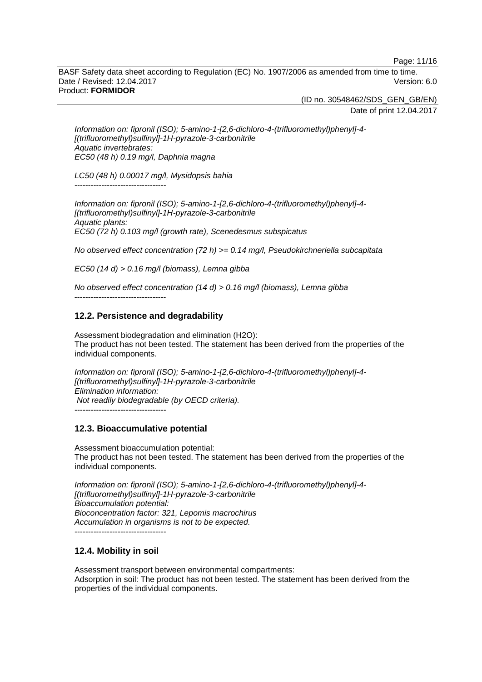Page: 11/16

BASF Safety data sheet according to Regulation (EC) No. 1907/2006 as amended from time to time. Date / Revised: 12.04.2017 Version: 6.0 Product: **FORMIDOR**

(ID no. 30548462/SDS\_GEN\_GB/EN)

Date of print 12.04.2017

*Information on: fipronil (ISO); 5-amino-1-[2,6-dichloro-4-(trifluoromethyl)phenyl]-4- [(trifluoromethyl)sulfinyl]-1H-pyrazole-3-carbonitrile Aquatic invertebrates: EC50 (48 h) 0.19 mg/l, Daphnia magna*

*LC50 (48 h) 0.00017 mg/l, Mysidopsis bahia* ----------------------------------

*Information on: fipronil (ISO); 5-amino-1-[2,6-dichloro-4-(trifluoromethyl)phenyl]-4- [(trifluoromethyl)sulfinyl]-1H-pyrazole-3-carbonitrile Aquatic plants: EC50 (72 h) 0.103 mg/l (growth rate), Scenedesmus subspicatus*

*No observed effect concentration (72 h) >= 0.14 mg/l, Pseudokirchneriella subcapitata*

*EC50 (14 d) > 0.16 mg/l (biomass), Lemna gibba*

*No observed effect concentration (14 d) > 0.16 mg/l (biomass), Lemna gibba*

## **12.2. Persistence and degradability**

----------------------------------

Assessment biodegradation and elimination (H2O): The product has not been tested. The statement has been derived from the properties of the individual components.

*Information on: fipronil (ISO); 5-amino-1-[2,6-dichloro-4-(trifluoromethyl)phenyl]-4- [(trifluoromethyl)sulfinyl]-1H-pyrazole-3-carbonitrile Elimination information: Not readily biodegradable (by OECD criteria).* ----------------------------------

#### **12.3. Bioaccumulative potential**

Assessment bioaccumulation potential: The product has not been tested. The statement has been derived from the properties of the individual components.

*Information on: fipronil (ISO); 5-amino-1-[2,6-dichloro-4-(trifluoromethyl)phenyl]-4- [(trifluoromethyl)sulfinyl]-1H-pyrazole-3-carbonitrile Bioaccumulation potential: Bioconcentration factor: 321, Lepomis macrochirus Accumulation in organisms is not to be expected.* ----------------------------------

#### **12.4. Mobility in soil**

Assessment transport between environmental compartments: Adsorption in soil: The product has not been tested. The statement has been derived from the properties of the individual components.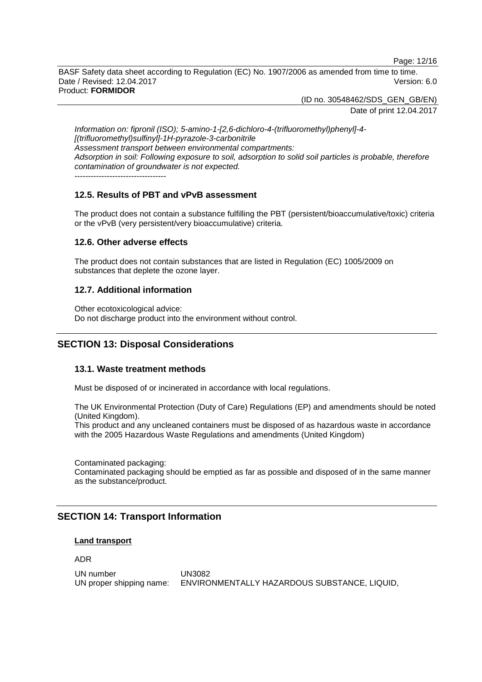Page: 12/16

BASF Safety data sheet according to Regulation (EC) No. 1907/2006 as amended from time to time. Date / Revised: 12.04.2017 Version: 6.0 Product: **FORMIDOR**

(ID no. 30548462/SDS\_GEN\_GB/EN)

Date of print 12.04.2017

*Information on: fipronil (ISO); 5-amino-1-[2,6-dichloro-4-(trifluoromethyl)phenyl]-4- [(trifluoromethyl)sulfinyl]-1H-pyrazole-3-carbonitrile Assessment transport between environmental compartments: Adsorption in soil: Following exposure to soil, adsorption to solid soil particles is probable, therefore contamination of groundwater is not expected.* ----------------------------------

## **12.5. Results of PBT and vPvB assessment**

The product does not contain a substance fulfilling the PBT (persistent/bioaccumulative/toxic) criteria or the vPvB (very persistent/very bioaccumulative) criteria.

#### **12.6. Other adverse effects**

The product does not contain substances that are listed in Regulation (EC) 1005/2009 on substances that deplete the ozone layer.

#### **12.7. Additional information**

Other ecotoxicological advice: Do not discharge product into the environment without control.

## **SECTION 13: Disposal Considerations**

#### **13.1. Waste treatment methods**

Must be disposed of or incinerated in accordance with local regulations.

The UK Environmental Protection (Duty of Care) Regulations (EP) and amendments should be noted (United Kingdom).

This product and any uncleaned containers must be disposed of as hazardous waste in accordance with the 2005 Hazardous Waste Regulations and amendments (United Kingdom)

Contaminated packaging: Contaminated packaging should be emptied as far as possible and disposed of in the same manner as the substance/product.

## **SECTION 14: Transport Information**

#### **Land transport**

ADR

UN number UN3082 UN proper shipping name: ENVIRONMENTALLY HAZARDOUS SUBSTANCE, LIQUID,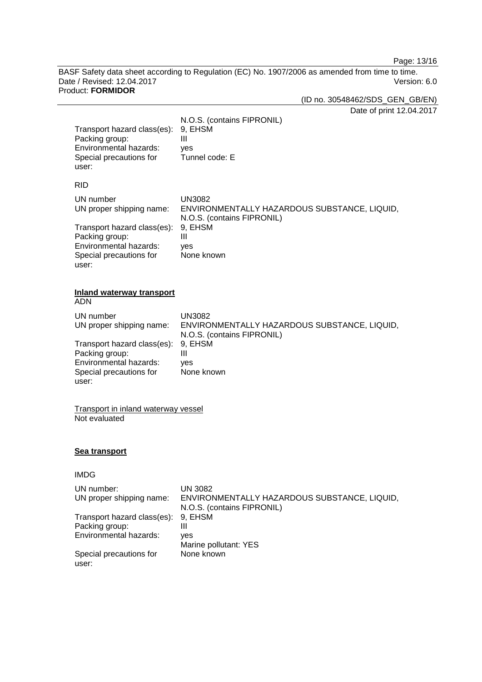Page: 13/16

BASF Safety data sheet according to Regulation (EC) No. 1907/2006 as amended from time to time.<br>Date / Revised: 12.04.2017 Version: 6.0 Date / Revised: 12.04.2017 Product: **FORMIDOR**

(ID no. 30548462/SDS\_GEN\_GB/EN)

Date of print 12.04.2017

| Transport hazard class(es):<br>Packing group:<br>Environmental hazards:<br>Special precautions for<br>user: | N.O.S. (contains FIPRONIL)<br>9, EHSM<br>$\mathbf{III}$<br>yes<br>Tunnel code: E            |
|-------------------------------------------------------------------------------------------------------------|---------------------------------------------------------------------------------------------|
| <b>RID</b>                                                                                                  |                                                                                             |
| UN number<br>UN proper shipping name:                                                                       | <b>UN3082</b><br>ENVIRONMENTALLY HAZARDOUS SUBSTANCE, LIQUID,                               |
| Transport hazard class(es):<br>Packing group:<br>Environmental hazards:<br>Special precautions for<br>user: | N.O.S. (contains FIPRONIL)<br>9, EHSM<br>Ш<br>yes<br>None known                             |
| <b>Inland waterway transport</b><br><b>ADN</b>                                                              |                                                                                             |
| UN number<br>UN proper shipping name:                                                                       | <b>UN3082</b><br>ENVIRONMENTALLY HAZARDOUS SUBSTANCE, LIQUID,<br>N.O.S. (contains FIPRONIL) |
| Transport hazard class(es):<br>Packing group:<br>Environmental hazards:<br>Special precautions for<br>user: | 9, EHSM<br>Ш<br>yes<br>None known                                                           |
| Transport in inland waterway vessel<br>Not evaluated                                                        |                                                                                             |
| <b>Sea transport</b>                                                                                        |                                                                                             |
| <b>IMDG</b>                                                                                                 |                                                                                             |
| UN number:<br>UN proper shipping name:                                                                      | <b>UN 3082</b><br>ENVIRONMENTALLY HAZARDOUS SUBSTANCE, LIQUID,                              |
|                                                                                                             | N.O.S. (contains FIPRONIL)                                                                  |
| Transport hazard class(es):<br>Packing group:                                                               | 9, EHSM<br>$\mathbf{III}$                                                                   |
| Environmental hazards:                                                                                      | yes                                                                                         |
| Special precautions for                                                                                     | Marine pollutant: YES<br>None known                                                         |

user: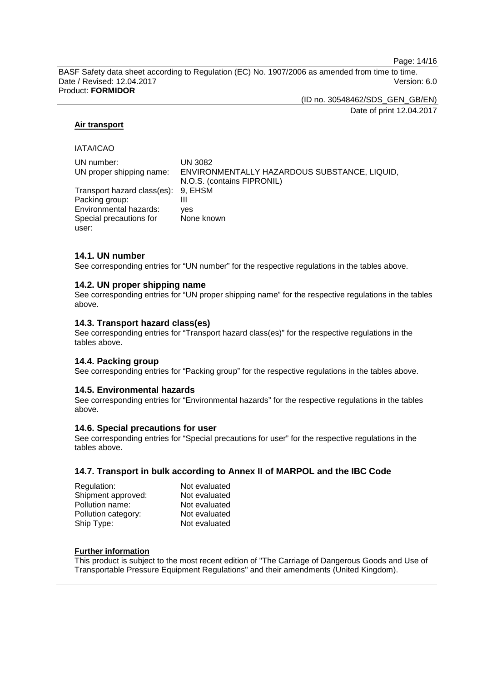Page: 14/16

BASF Safety data sheet according to Regulation (EC) No. 1907/2006 as amended from time to time. Date / Revised: 12.04.2017 Version: 6.0 Product: **FORMIDOR**

> (ID no. 30548462/SDS\_GEN\_GB/EN) Date of print 12.04.2017

#### **Air transport**

IATA/ICAO

| UN number:                          | UN 3082                                      |
|-------------------------------------|----------------------------------------------|
| UN proper shipping name:            | ENVIRONMENTALLY HAZARDOUS SUBSTANCE, LIQUID, |
|                                     | N.O.S. (contains FIPRONIL)                   |
| Transport hazard class(es): 9, EHSM |                                              |
| Packing group:                      |                                              |
| Environmental hazards:              | ves                                          |
| Special precautions for             | None known                                   |
| user:                               |                                              |

#### **14.1. UN number**

See corresponding entries for "UN number" for the respective regulations in the tables above.

#### **14.2. UN proper shipping name**

See corresponding entries for "UN proper shipping name" for the respective regulations in the tables above.

#### **14.3. Transport hazard class(es)**

See corresponding entries for "Transport hazard class(es)" for the respective regulations in the tables above.

#### **14.4. Packing group**

See corresponding entries for "Packing group" for the respective regulations in the tables above.

#### **14.5. Environmental hazards**

See corresponding entries for "Environmental hazards" for the respective regulations in the tables above.

#### **14.6. Special precautions for user**

See corresponding entries for "Special precautions for user" for the respective regulations in the tables above.

#### **14.7. Transport in bulk according to Annex II of MARPOL and the IBC Code**

| Regulation:         | Not evaluated |
|---------------------|---------------|
| Shipment approved:  | Not evaluated |
| Pollution name:     | Not evaluated |
| Pollution category: | Not evaluated |
| Ship Type:          | Not evaluated |

#### **Further information**

This product is subject to the most recent edition of "The Carriage of Dangerous Goods and Use of Transportable Pressure Equipment Regulations" and their amendments (United Kingdom).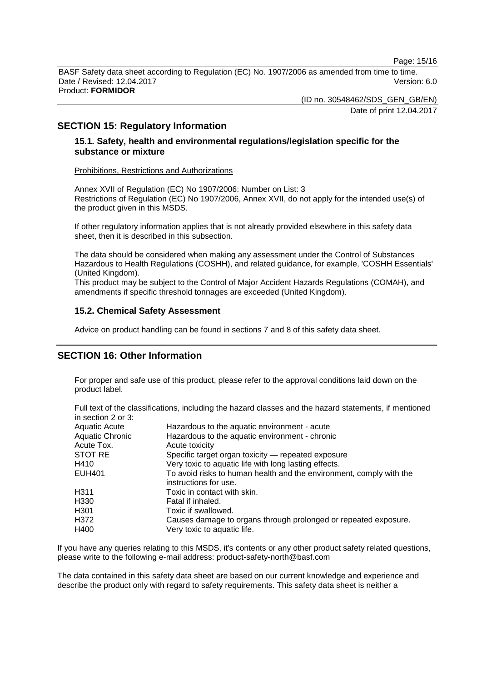Page: 15/16

BASF Safety data sheet according to Regulation (EC) No. 1907/2006 as amended from time to time. Date / Revised: 12.04.2017 Version: 6.0 Product: **FORMIDOR**

(ID no. 30548462/SDS\_GEN\_GB/EN)

Date of print 12.04.2017

## **SECTION 15: Regulatory Information**

## **15.1. Safety, health and environmental regulations/legislation specific for the substance or mixture**

#### Prohibitions, Restrictions and Authorizations

Annex XVII of Regulation (EC) No 1907/2006: Number on List: 3 Restrictions of Regulation (EC) No 1907/2006, Annex XVII, do not apply for the intended use(s) of the product given in this MSDS.

If other regulatory information applies that is not already provided elsewhere in this safety data sheet, then it is described in this subsection.

The data should be considered when making any assessment under the Control of Substances Hazardous to Health Regulations (COSHH), and related guidance, for example, 'COSHH Essentials' (United Kingdom).

This product may be subject to the Control of Major Accident Hazards Regulations (COMAH), and amendments if specific threshold tonnages are exceeded (United Kingdom).

#### **15.2. Chemical Safety Assessment**

Advice on product handling can be found in sections 7 and 8 of this safety data sheet.

## **SECTION 16: Other Information**

For proper and safe use of this product, please refer to the approval conditions laid down on the product label.

Full text of the classifications, including the hazard classes and the hazard statements, if mentioned in section 2 or 3:

| Aquatic Acute   | Hazardous to the aquatic environment - acute                                                 |
|-----------------|----------------------------------------------------------------------------------------------|
| Aquatic Chronic | Hazardous to the aquatic environment - chronic                                               |
| Acute Tox.      | Acute toxicity                                                                               |
| STOT RE         | Specific target organ toxicity - repeated exposure                                           |
| H410            | Very toxic to aquatic life with long lasting effects.                                        |
| EUH401          | To avoid risks to human health and the environment, comply with the<br>instructions for use. |
| H311            | Toxic in contact with skin.                                                                  |
| H330            | Fatal if inhaled.                                                                            |
| H301            | Toxic if swallowed.                                                                          |
| H372            | Causes damage to organs through prolonged or repeated exposure.                              |
| H400            | Very toxic to aquatic life.                                                                  |
|                 |                                                                                              |

If you have any queries relating to this MSDS, it's contents or any other product safety related questions, please write to the following e-mail address: product-safety-north@basf.com

The data contained in this safety data sheet are based on our current knowledge and experience and describe the product only with regard to safety requirements. This safety data sheet is neither a